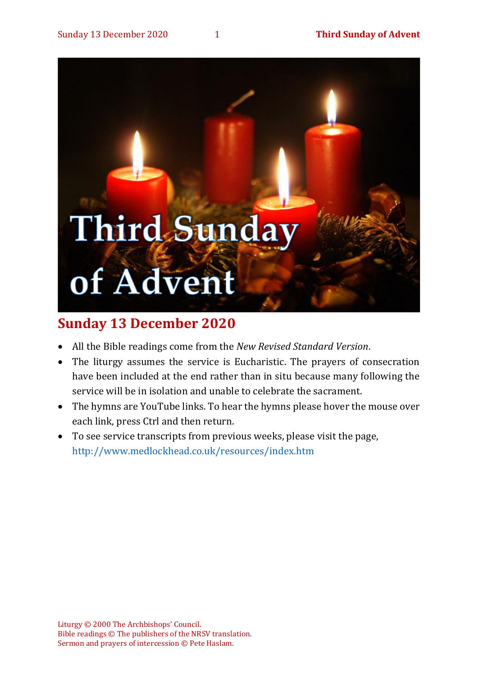# **Third Sunday** of Advent

### **Sunday 13 December 2020**

- All the Bible readings come from the *New Revised Standard Version*.
- The liturgy assumes the service is Eucharistic. The prayers of consecration have been included at the end rather than in situ because many following the service will be in isolation and unable to celebrate the sacrament.
- The hymns are YouTube links. To hear the hymns please hover the mouse over each link, press Ctrl and then return.
- To see service transcripts from previous weeks, please visit the page, <http://www.medlockhead.co.uk/resources/index.htm>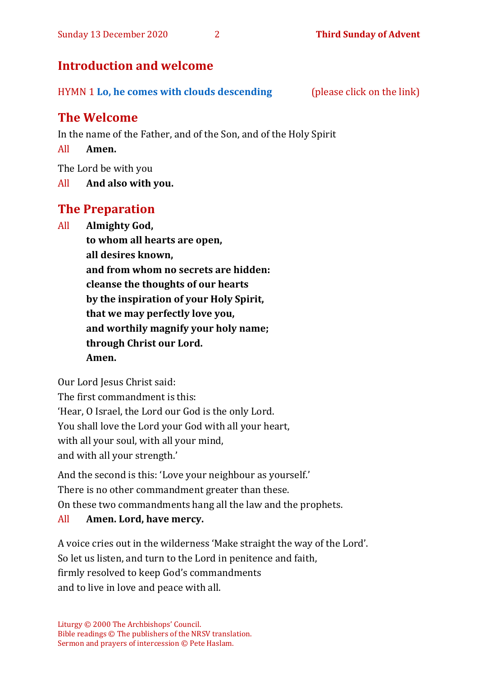#### **Introduction and welcome**

| HYMN 1 Lo, he comes with clouds descending | (please click on the link) |
|--------------------------------------------|----------------------------|
|--------------------------------------------|----------------------------|

#### **The Welcome**

In the name of the Father, and of the Son, and of the Holy Spirit

All **Amen.**

The Lord be with you

All **And also with you.**

#### **The Preparation**

All **Almighty God,**

**to whom all hearts are open, all desires known, and from whom no secrets are hidden: cleanse the thoughts of our hearts by the inspiration of your Holy Spirit, that we may perfectly love you, and worthily magnify your holy name; through Christ our Lord. Amen.**

Our Lord Jesus Christ said:

The first commandment is this: 'Hear, O Israel, the Lord our God is the only Lord. You shall love the Lord your God with all your heart, with all your soul, with all your mind,

and with all your strength.'

And the second is this: 'Love your neighbour as yourself.' There is no other commandment greater than these. On these two commandments hang all the law and the prophets. All **Amen. Lord, have mercy.**

#### A voice cries out in the wilderness 'Make straight the way of the Lord'. So let us listen, and turn to the Lord in penitence and faith, firmly resolved to keep God's commandments and to live in love and peace with all.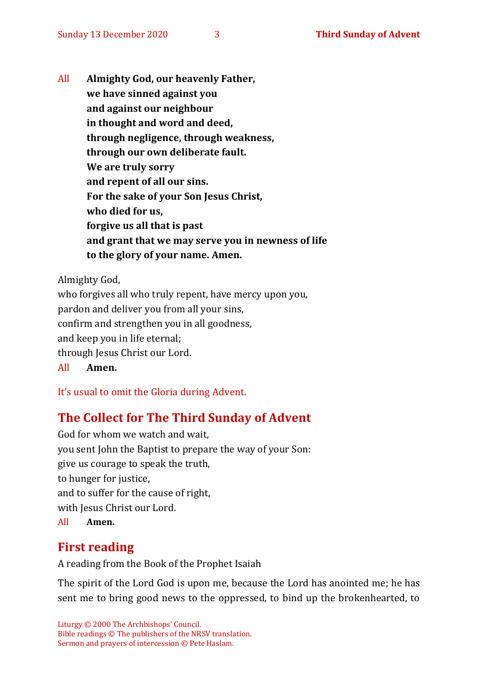All **Almighty God, our heavenly Father, we have sinned against you and against our neighbour in thought and word and deed, through negligence, through weakness, through our own deliberate fault. We are truly sorry and repent of all our sins. For the sake of your Son Jesus Christ, who died for us, forgive us all that is past and grant that we may serve you in newness of life to the glory of your name. Amen.**

Almighty God,

who forgives all who truly repent, have mercy upon you, pardon and deliver you from all your sins, confirm and strengthen you in all goodness, and keep you in life eternal; through Jesus Christ our Lord. All **Amen.**

It's usual to omit the Gloria during Advent.

#### **The Collect for The Third Sunday of Advent**

God for whom we watch and wait, you sent John the Baptist to prepare the way of your Son: give us courage to speak the truth, to hunger for justice, and to suffer for the cause of right, with Jesus Christ our Lord. All **Amen.**

#### **First reading**

A reading from the Book of the Prophet Isaiah

The spirit of the Lord God is upon me, because the Lord has anointed me; he has sent me to bring good news to the oppressed, to bind up the brokenhearted, to

Liturgy © 2000 The Archbishops' Council. Bible readings © The publishers of the NRSV translation. Sermon and prayers of intercession © Pete Haslam.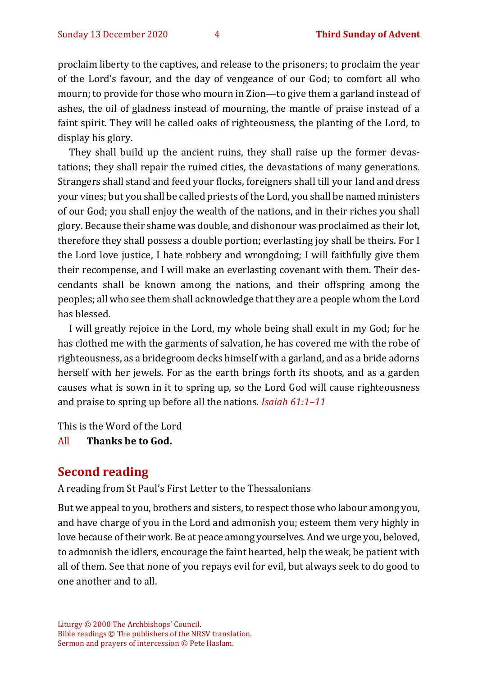proclaim liberty to the captives, and release to the prisoners; to proclaim the year of the Lord's favour, and the day of vengeance of our God; to comfort all who mourn; to provide for those who mourn in Zion—to give them a garland instead of ashes, the oil of gladness instead of mourning, the mantle of praise instead of a faint spirit. They will be called oaks of righteousness, the planting of the Lord, to display his glory.

They shall build up the ancient ruins, they shall raise up the former devastations; they shall repair the ruined cities, the devastations of many generations. Strangers shall stand and feed your flocks, foreigners shall till your land and dress your vines; but you shall be called priests of the Lord, you shall be named ministers of our God; you shall enjoy the wealth of the nations, and in their riches you shall glory. Because their shame was double, and dishonour was proclaimed as their lot, therefore they shall possess a double portion; everlasting joy shall be theirs. For I the Lord love justice, I hate robbery and wrongdoing; I will faithfully give them their recompense, and I will make an everlasting covenant with them. Their descendants shall be known among the nations, and their offspring among the peoples; all who see them shall acknowledge that they are a people whom the Lord has blessed.

I will greatly rejoice in the Lord, my whole being shall exult in my God; for he has clothed me with the garments of salvation, he has covered me with the robe of righteousness, as a bridegroom decks himself with a garland, and as a bride adorns herself with her jewels. For as the earth brings forth its shoots, and as a garden causes what is sown in it to spring up, so the Lord God will cause righteousness and praise to spring up before all the nations. *Isaiah 61:1–11*

This is the Word of the Lord

All **Thanks be to God.**

#### **Second reading**

A reading from St Paul's First Letter to the Thessalonians

But we appeal to you, brothers and sisters, to respect those who labour among you, and have charge of you in the Lord and admonish you; esteem them very highly in love because of their work. Be at peace among yourselves. And we urge you, beloved, to admonish the idlers, encourage the faint hearted, help the weak, be patient with all of them. See that none of you repays evil for evil, but always seek to do good to one another and to all.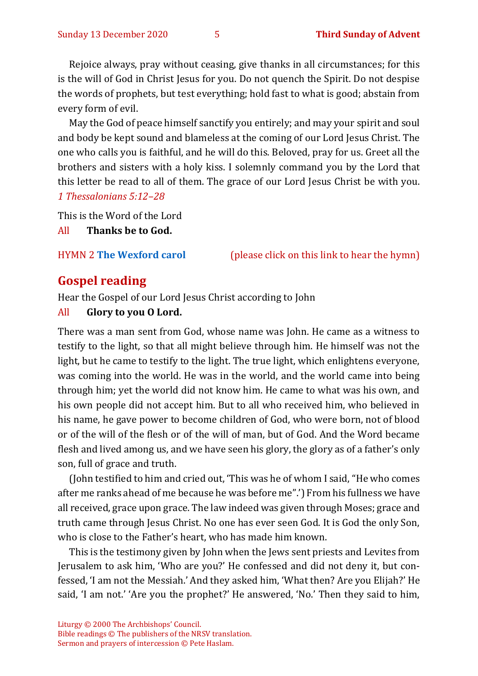Rejoice always, pray without ceasing, give thanks in all circumstances; for this is the will of God in Christ Jesus for you. Do not quench the Spirit. Do not despise the words of prophets, but test everything; hold fast to what is good; abstain from every form of evil.

May the God of peace himself sanctify you entirely; and may your spirit and soul and body be kept sound and blameless at the coming of our Lord Jesus Christ. The one who calls you is faithful, and he will do this. Beloved, pray for us. Greet all the brothers and sisters with a holy kiss. I solemnly command you by the Lord that this letter be read to all of them. The grace of our Lord Jesus Christ be with you. *1 Thessalonians 5:12–28*

This is the Word of the Lord

All **Thanks be to God.**

HYMN 2 **[The Wexford carol](https://youtu.be/1D2kpeqLiiA)** (please click on this link to hear the hymn)

#### **Gospel reading**

Hear the Gospel of our Lord Jesus Christ according to John

#### All **Glory to you O Lord.**

There was a man sent from God, whose name was John. He came as a witness to testify to the light, so that all might believe through him. He himself was not the light, but he came to testify to the light. The true light, which enlightens everyone, was coming into the world. He was in the world, and the world came into being through him; yet the world did not know him. He came to what was his own, and his own people did not accept him. But to all who received him, who believed in his name, he gave power to become children of God, who were born, not of blood or of the will of the flesh or of the will of man, but of God. And the Word became flesh and lived among us, and we have seen his glory, the glory as of a father's only son, full of grace and truth.

(John testified to him and cried out, 'This was he of whom I said, "He who comes after me ranks ahead of me because he was before me".') From his fullness we have all received, grace upon grace. The law indeed was given through Moses; grace and truth came through Jesus Christ. No one has ever seen God. It is God the only Son, who is close to the Father's heart, who has made him known.

This is the testimony given by John when the Jews sent priests and Levites from Jerusalem to ask him, 'Who are you?' He confessed and did not deny it, but confessed, 'I am not the Messiah.' And they asked him, 'What then? Are you Elijah?' He said, 'I am not.' 'Are you the prophet?' He answered, 'No.' Then they said to him,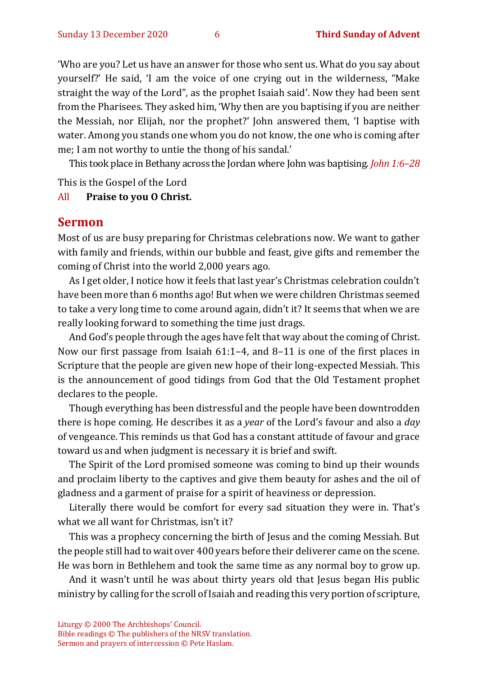'Who are you? Let us have an answer for those who sent us. What do you say about yourself?' He said, 'I am the voice of one crying out in the wilderness, "Make straight the way of the Lord", as the prophet Isaiah said'. Now they had been sent from the Pharisees. They asked him, 'Why then are you baptising if you are neither the Messiah, nor Elijah, nor the prophet?' John answered them, 'I baptise with water. Among you stands one whom you do not know, the one who is coming after me; I am not worthy to untie the thong of his sandal.'

This took place in Bethany across the Jordan where John was baptising. *John 1:6–28*

This is the Gospel of the Lord

#### All **Praise to you O Christ.**

#### **Sermon**

Most of us are busy preparing for Christmas celebrations now. We want to gather with family and friends, within our bubble and feast, give gifts and remember the coming of Christ into the world 2,000 years ago.

As I get older, I notice how it feels that last year's Christmas celebration couldn't have been more than 6 months ago! But when we were children Christmas seemed to take a very long time to come around again, didn't it? It seems that when we are really looking forward to something the time just drags.

And God's people through the ages have felt that way about the coming of Christ. Now our first passage from Isaiah 61:1–4, and 8–11 is one of the first places in Scripture that the people are given new hope of their long-expected Messiah. This is the announcement of good tidings from God that the Old Testament prophet declares to the people.

Though everything has been distressful and the people have been downtrodden there is hope coming. He describes it as a *year* of the Lord's favour and also a *day* of vengeance. This reminds us that God has a constant attitude of favour and grace toward us and when judgment is necessary it is brief and swift.

The Spirit of the Lord promised someone was coming to bind up their wounds and proclaim liberty to the captives and give them beauty for ashes and the oil of gladness and a garment of praise for a spirit of heaviness or depression.

Literally there would be comfort for every sad situation they were in. That's what we all want for Christmas, isn't it?

This was a prophecy concerning the birth of Jesus and the coming Messiah. But the people still had to wait over 400 years before their deliverer came on the scene. He was born in Bethlehem and took the same time as any normal boy to grow up.

And it wasn't until he was about thirty years old that Jesus began His public ministry by calling for the scroll of Isaiah and reading this very portion of scripture,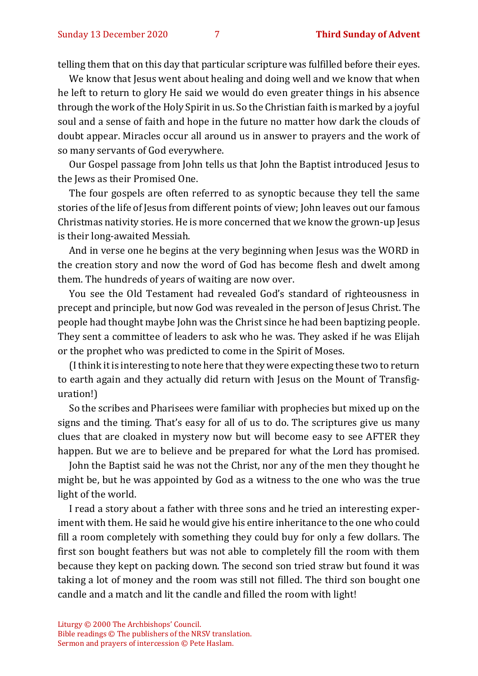telling them that on this day that particular scripture was fulfilled before their eyes.

We know that Jesus went about healing and doing well and we know that when he left to return to glory He said we would do even greater things in his absence through the work of the Holy Spirit in us. So the Christian faith is marked by a joyful soul and a sense of faith and hope in the future no matter how dark the clouds of doubt appear. Miracles occur all around us in answer to prayers and the work of so many servants of God everywhere.

Our Gospel passage from John tells us that John the Baptist introduced Jesus to the Jews as their Promised One.

The four gospels are often referred to as synoptic because they tell the same stories of the life of Jesus from different points of view; John leaves out our famous Christmas nativity stories. He is more concerned that we know the grown-up Jesus is their long-awaited Messiah.

And in verse one he begins at the very beginning when Jesus was the WORD in the creation story and now the word of God has become flesh and dwelt among them. The hundreds of years of waiting are now over.

You see the Old Testament had revealed God's standard of righteousness in precept and principle, but now God was revealed in the person of Jesus Christ. The people had thought maybe John was the Christ since he had been baptizing people. They sent a committee of leaders to ask who he was. They asked if he was Elijah or the prophet who was predicted to come in the Spirit of Moses.

(I think it is interesting to note here that they were expecting these two to return to earth again and they actually did return with Jesus on the Mount of Transfiguration!)

So the scribes and Pharisees were familiar with prophecies but mixed up on the signs and the timing. That's easy for all of us to do. The scriptures give us many clues that are cloaked in mystery now but will become easy to see AFTER they happen. But we are to believe and be prepared for what the Lord has promised.

John the Baptist said he was not the Christ, nor any of the men they thought he might be, but he was appointed by God as a witness to the one who was the true light of the world.

I read a story about a father with three sons and he tried an interesting experiment with them. He said he would give his entire inheritance to the one who could fill a room completely with something they could buy for only a few dollars. The first son bought feathers but was not able to completely fill the room with them because they kept on packing down. The second son tried straw but found it was taking a lot of money and the room was still not filled. The third son bought one candle and a match and lit the candle and filled the room with light!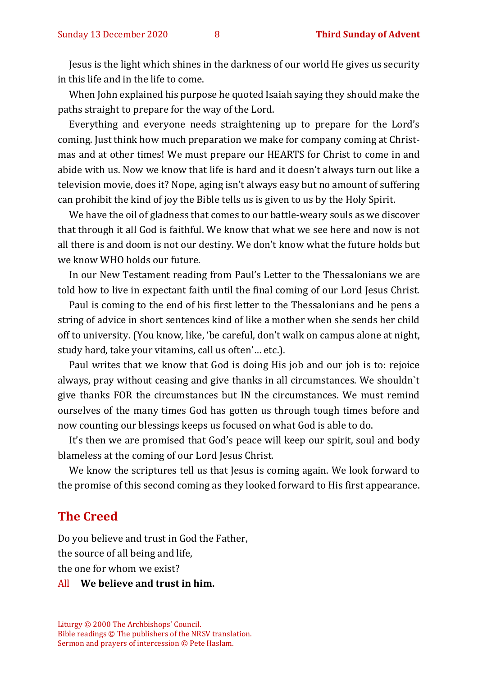Jesus is the light which shines in the darkness of our world He gives us security in this life and in the life to come.

When John explained his purpose he quoted Isaiah saying they should make the paths straight to prepare for the way of the Lord.

Everything and everyone needs straightening up to prepare for the Lord's coming. Just think how much preparation we make for company coming at Christmas and at other times! We must prepare our HEARTS for Christ to come in and abide with us. Now we know that life is hard and it doesn't always turn out like a television movie, does it? Nope, aging isn't always easy but no amount of suffering can prohibit the kind of joy the Bible tells us is given to us by the Holy Spirit.

We have the oil of gladness that comes to our battle-weary souls as we discover that through it all God is faithful. We know that what we see here and now is not all there is and doom is not our destiny. We don't know what the future holds but we know WHO holds our future.

In our New Testament reading from Paul's Letter to the Thessalonians we are told how to live in expectant faith until the final coming of our Lord Jesus Christ.

Paul is coming to the end of his first letter to the Thessalonians and he pens a string of advice in short sentences kind of like a mother when she sends her child off to university. (You know, like, 'be careful, don't walk on campus alone at night, study hard, take your vitamins, call us often'… etc.).

Paul writes that we know that God is doing His job and our job is to: rejoice always, pray without ceasing and give thanks in all circumstances. We shouldn`t give thanks FOR the circumstances but IN the circumstances. We must remind ourselves of the many times God has gotten us through tough times before and now counting our blessings keeps us focused on what God is able to do.

It's then we are promised that God's peace will keep our spirit, soul and body blameless at the coming of our Lord Jesus Christ.

We know the scriptures tell us that Jesus is coming again. We look forward to the promise of this second coming as they looked forward to His first appearance.

#### **The Creed**

Do you believe and trust in God the Father, the source of all being and life, the one for whom we exist?

#### All **We believe and trust in him.**

Liturgy © 2000 The Archbishops' Council. Bible readings © The publishers of the NRSV translation. Sermon and prayers of intercession © Pete Haslam.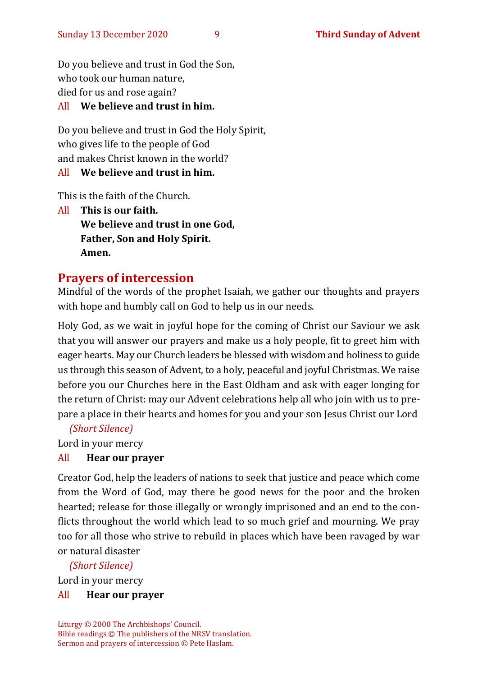Do you believe and trust in God the Son, who took our human nature, died for us and rose again?

#### All **We believe and trust in him.**

Do you believe and trust in God the Holy Spirit, who gives life to the people of God and makes Christ known in the world?

#### All **We believe and trust in him.**

This is the faith of the Church.

All **This is our faith. We believe and trust in one God, Father, Son and Holy Spirit. Amen.**

#### **Prayers of intercession**

Mindful of the words of the prophet Isaiah, we gather our thoughts and prayers with hope and humbly call on God to help us in our needs.

Holy God, as we wait in joyful hope for the coming of Christ our Saviour we ask that you will answer our prayers and make us a holy people, fit to greet him with eager hearts. May our Church leaders be blessed with wisdom and holiness to guide us through this season of Advent, to a holy, peaceful and joyful Christmas. We raise before you our Churches here in the East Oldham and ask with eager longing for the return of Christ: may our Advent celebrations help all who join with us to prepare a place in their hearts and homes for you and your son Jesus Christ our Lord

*(Short Silence)*

Lord in your mercy

#### All **Hear our prayer**

Creator God, help the leaders of nations to seek that justice and peace which come from the Word of God, may there be good news for the poor and the broken hearted; release for those illegally or wrongly imprisoned and an end to the conflicts throughout the world which lead to so much grief and mourning. We pray too for all those who strive to rebuild in places which have been ravaged by war or natural disaster

#### *(Short Silence)*

Lord in your mercy

#### All **Hear our prayer**

Liturgy © 2000 The Archbishops' Council. Bible readings © The publishers of the NRSV translation. Sermon and prayers of intercession © Pete Haslam.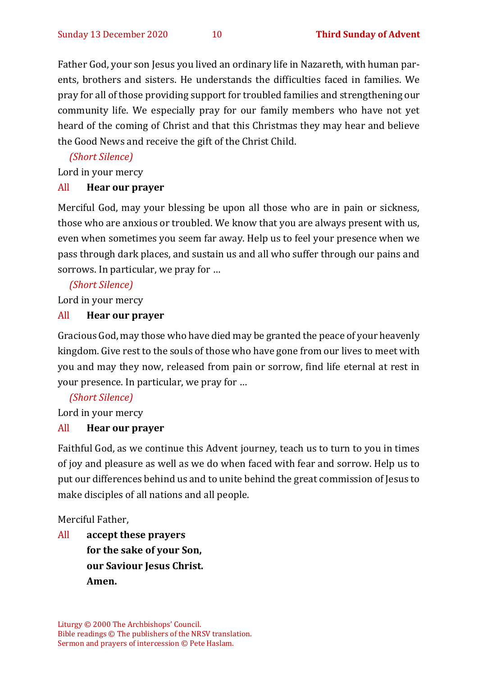Father God, your son Jesus you lived an ordinary life in Nazareth, with human parents, brothers and sisters. He understands the difficulties faced in families. We pray for all of those providing support for troubled families and strengthening our community life. We especially pray for our family members who have not yet heard of the coming of Christ and that this Christmas they may hear and believe the Good News and receive the gift of the Christ Child.

*(Short Silence)*

Lord in your mercy

#### All **Hear our prayer**

Merciful God, may your blessing be upon all those who are in pain or sickness, those who are anxious or troubled. We know that you are always present with us, even when sometimes you seem far away. Help us to feel your presence when we pass through dark places, and sustain us and all who suffer through our pains and sorrows. In particular, we pray for …

*(Short Silence)*

Lord in your mercy

#### All **Hear our prayer**

Gracious God, may those who have died may be granted the peace of your heavenly kingdom. Give rest to the souls of those who have gone from our lives to meet with you and may they now, released from pain or sorrow, find life eternal at rest in your presence. In particular, we pray for …

*(Short Silence)*

Lord in your mercy

#### All **Hear our prayer**

Faithful God, as we continue this Advent journey, teach us to turn to you in times of joy and pleasure as well as we do when faced with fear and sorrow. Help us to put our differences behind us and to unite behind the great commission of Jesus to make disciples of all nations and all people.

Merciful Father,

All **accept these prayers for the sake of your Son, our Saviour Jesus Christ. Amen.**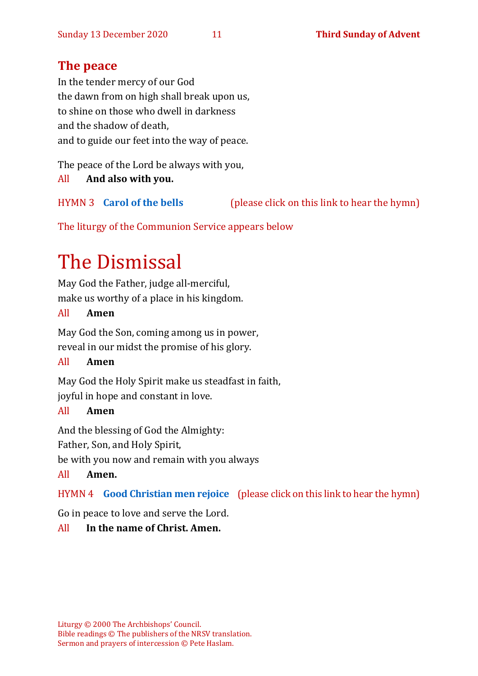#### **The peace**

In the tender mercy of our God the dawn from on high shall break upon us, to shine on those who dwell in darkness and the shadow of death, and to guide our feet into the way of peace.

The peace of the Lord be always with you,

All **And also with you.**

HYMN 3 **[Carol of the bells](https://www.youtube.com/watch?v=GE4PH_Kjy0I)** (please click on this link to hear the hymn)

The liturgy of the Communion Service appears below

## The Dismissal

May God the Father, judge all-merciful, make us worthy of a place in his kingdom.

#### All **Amen**

May God the Son, coming among us in power, reveal in our midst the promise of his glory.

#### All **Amen**

May God the Holy Spirit make us steadfast in faith, joyful in hope and constant in love.

#### All **Amen**

And the blessing of God the Almighty:

Father, Son, and Holy Spirit,

be with you now and remain with you always

#### All **Amen.**

HYMN 4 **[Good Christian men rejoice](https://www.youtube.com/watch?v=SQadcm_dwEM)** (please click on this link to hear the hymn)

Go in peace to love and serve the Lord.

#### All **In the name of Christ. Amen.**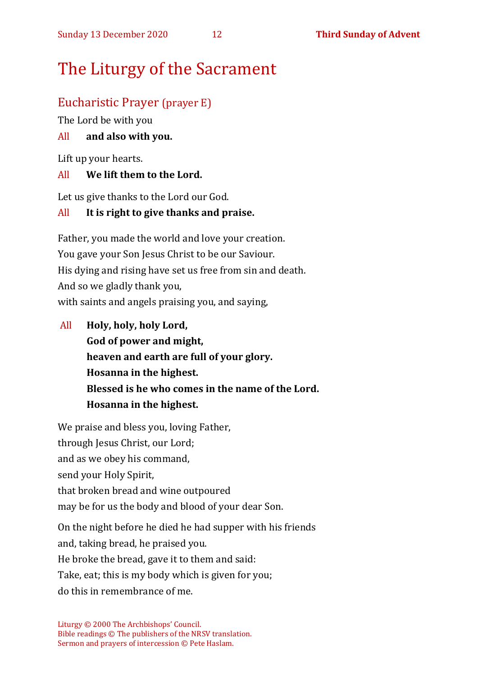## The Liturgy of the Sacrament

#### Eucharistic Prayer (prayer E)

The Lord be with you

#### All **and also with you.**

Lift up your hearts.

#### All **We lift them to the Lord.**

Let us give thanks to the Lord our God.

#### All **It is right to give thanks and praise.**

Father, you made the world and love your creation. You gave your Son Jesus Christ to be our Saviour. His dying and rising have set us free from sin and death. And so we gladly thank you, with saints and angels praising you, and saying,

All **Holy, holy, holy Lord, God of power and might, heaven and earth are full of your glory. Hosanna in the highest. Blessed is he who comes in the name of the Lord. Hosanna in the highest.**

We praise and bless you, loving Father, through Jesus Christ, our Lord; and as we obey his command, send your Holy Spirit, that broken bread and wine outpoured may be for us the body and blood of your dear Son.

On the night before he died he had supper with his friends and, taking bread, he praised you.

He broke the bread, gave it to them and said:

Take, eat; this is my body which is given for you;

do this in remembrance of me.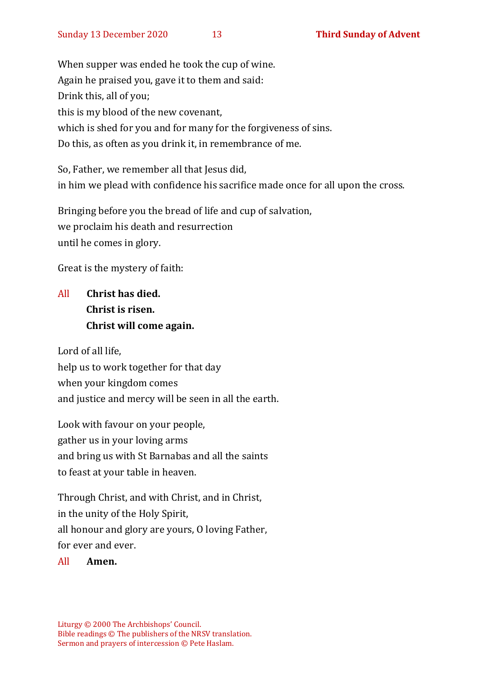When supper was ended he took the cup of wine. Again he praised you, gave it to them and said: Drink this, all of you; this is my blood of the new covenant, which is shed for you and for many for the forgiveness of sins. Do this, as often as you drink it, in remembrance of me.

So, Father, we remember all that Jesus did, in him we plead with confidence his sacrifice made once for all upon the cross.

Bringing before you the bread of life and cup of salvation, we proclaim his death and resurrection until he comes in glory.

Great is the mystery of faith:

#### All **Christ has died. Christ is risen. Christ will come again.**

Lord of all life, help us to work together for that day when your kingdom comes and justice and mercy will be seen in all the earth.

Look with favour on your people, gather us in your loving arms and bring us with St Barnabas and all the saints to feast at your table in heaven.

Through Christ, and with Christ, and in Christ, in the unity of the Holy Spirit, all honour and glory are yours, O loving Father, for ever and ever.

#### All **Amen.**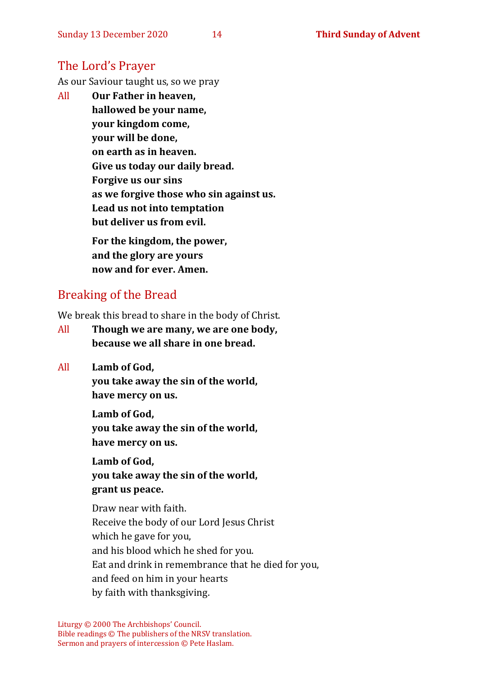#### The Lord's Prayer

As our Saviour taught us, so we pray

All **Our Father in heaven, hallowed be your name, your kingdom come, your will be done, on earth as in heaven. Give us today our daily bread. Forgive us our sins as we forgive those who sin against us. Lead us not into temptation but deliver us from evil. For the kingdom, the power,** 

**and the glory are yours now and for ever. Amen.**

#### Breaking of the Bread

We break this bread to share in the body of Christ.

- All **Though we are many, we are one body, because we all share in one bread.**
- All **Lamb of God,**

**you take away the sin of the world, have mercy on us.**

**Lamb of God, you take away the sin of the world, have mercy on us.**

**Lamb of God, you take away the sin of the world, grant us peace.**

Draw near with faith. Receive the body of our Lord Jesus Christ which he gave for you, and his blood which he shed for you. Eat and drink in remembrance that he died for you, and feed on him in your hearts by faith with thanksgiving.